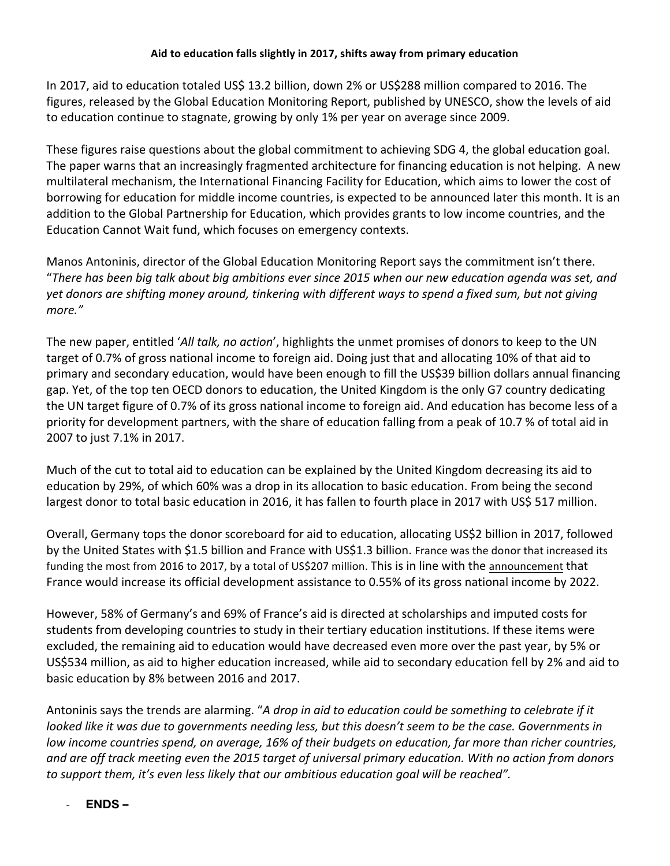In 2017, aid to education totaled US\$ 13.2 billion, down 2% or US\$288 million compared to 2016. The figures, released by the Global Education Monitoring Report, published by UNESCO, show the levels of aid to education continue to stagnate, growing by only 1% per year on average since 2009.

These figures raise questions about the global commitment to achieving SDG 4, the global education goal. The paper warns that an increasingly fragmented architecture for financing education is not helping. A new multilateral mechanism, the International Financing Facility for Education, which aims to lower the cost of borrowing for education for middle income countries, is expected to be announced later this month. It is an addition to the Global Partnership for Education, which provides grants to low income countries, and the Education Cannot Wait fund, which focuses on emergency contexts.

Manos Antoninis, director of the Global Education Monitoring Report says the commitment isn't there. "There has been big talk about big ambitions ever since 2015 when our new education agenda was set, and yet donors are shifting money around, tinkering with different ways to spend a fixed sum, but not giving *more."*

The new paper, entitled '*All talk, no action*', highlights the unmet promises of donors to keep to the UN target of 0.7% of gross national income to foreign aid. Doing just that and allocating 10% of that aid to primary and secondary education, would have been enough to fill the US\$39 billion dollars annual financing gap. Yet, of the top ten OECD donors to education, the United Kingdom is the only G7 country dedicating the UN target figure of 0.7% of its gross national income to foreign aid. And education has become less of a priority for development partners, with the share of education falling from a peak of 10.7 % of total aid in 2007 to just 7.1% in 2017.

Much of the cut to total aid to education can be explained by the United Kingdom decreasing its aid to education by 29%, of which 60% was a drop in its allocation to basic education. From being the second largest donor to total basic education in 2016, it has fallen to fourth place in 2017 with US\$ 517 million.

Overall, Germany tops the donor scoreboard for aid to education, allocating US\$2 billion in 2017, followed by the United States with \$1.5 billion and France with US\$1.3 billion. France was the donor that increased its funding the most from 2016 to 2017, by a total of US\$207 million. This is in line with the announcement that France would increase its official development assistance to 0.55% of its gross national income by 2022.

However, 58% of Germany's and 69% of France's aid is directed at scholarships and imputed costs for students from developing countries to study in their tertiary education institutions. If these items were excluded, the remaining aid to education would have decreased even more over the past year, by 5% or US\$534 million, as aid to higher education increased, while aid to secondary education fell by 2% and aid to basic education by 8% between 2016 and 2017.

Antoninis says the trends are alarming. "*A drop in aid to education could be something to celebrate if it* looked like it was due to governments needing less, but this doesn't seem to be the case. Governments in low income countries spend, on average, 16% of their budgets on education, far more than richer countries, and are off track meeting even the 2015 target of universal primary education. With no action from donors *to support them, it's even less likely that our ambitious education goal will be reached".*

- **ENDS –**